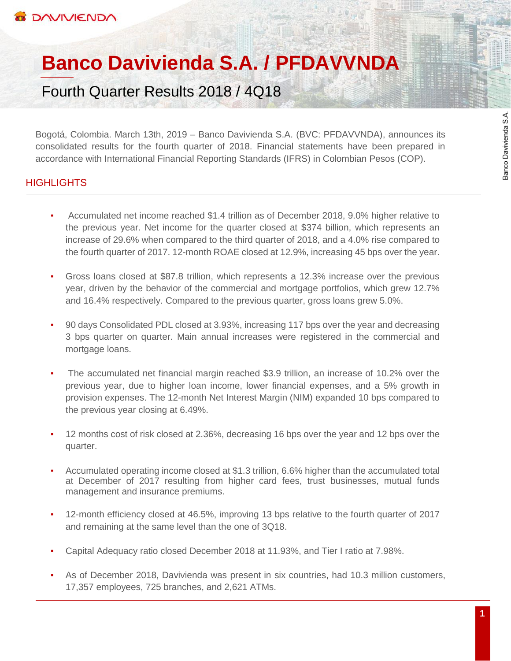# **Banco Davivienda S.A. / PFDAVVNDA**

Fourth Quarter Results 2018 / 4Q18

Bogotá, Colombia. March 13th, 2019 – Banco Davivienda S.A. (BVC: PFDAVVNDA), announces its consolidated results for the fourth quarter of 2018. Financial statements have been prepared in accordance with International Financial Reporting Standards (IFRS) in Colombian Pesos (COP).

# **HIGHLIGHTS**

- Accumulated net income reached \$1.4 trillion as of December 2018, 9.0% higher relative to the previous year. Net income for the quarter closed at \$374 billion, which represents an increase of 29.6% when compared to the third quarter of 2018, and a 4.0% rise compared to the fourth quarter of 2017. 12-month ROAE closed at 12.9%, increasing 45 bps over the year.
- Gross loans closed at \$87.8 trillion, which represents a 12.3% increase over the previous year, driven by the behavior of the commercial and mortgage portfolios, which grew 12.7% and 16.4% respectively. Compared to the previous quarter, gross loans grew 5.0%.
- 90 days Consolidated PDL closed at 3.93%, increasing 117 bps over the year and decreasing 3 bps quarter on quarter. Main annual increases were registered in the commercial and mortgage loans.
- The accumulated net financial margin reached \$3.9 trillion, an increase of 10.2% over the previous year, due to higher loan income, lower financial expenses, and a 5% growth in provision expenses. The 12-month Net Interest Margin (NIM) expanded 10 bps compared to the previous year closing at 6.49%.
- 12 months cost of risk closed at 2.36%, decreasing 16 bps over the year and 12 bps over the quarter.
- Accumulated operating income closed at \$1.3 trillion, 6.6% higher than the accumulated total at December of 2017 resulting from higher card fees, trust businesses, mutual funds management and insurance premiums.
- 12-month efficiency closed at 46.5%, improving 13 bps relative to the fourth quarter of 2017 and remaining at the same level than the one of 3Q18.
- Capital Adequacy ratio closed December 2018 at 11.93%, and Tier I ratio at 7.98%.
- As of December 2018, Davivienda was present in six countries, had 10.3 million customers, 17,357 employees, 725 branches, and 2,621 ATMs.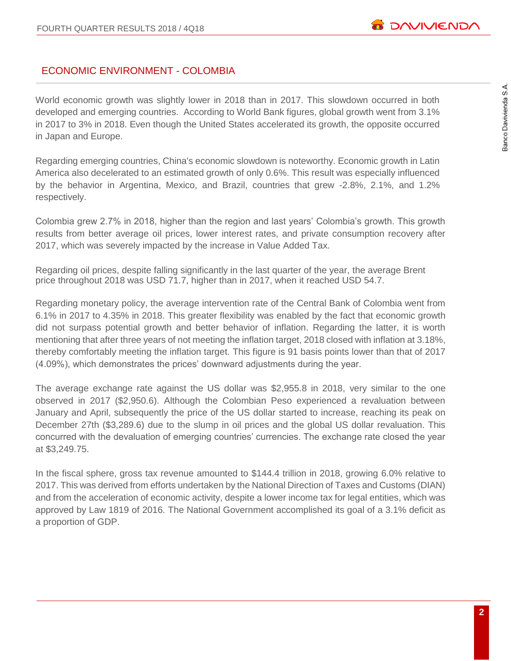# Banco Davivienda S.A.

# ECONOMIC ENVIRONMENT - COLOMBIA

World economic growth was slightly lower in 2018 than in 2017. This slowdown occurred in both developed and emerging countries. According to World Bank figures, global growth went from 3.1% in 2017 to 3% in 2018. Even though the United States accelerated its growth, the opposite occurred in Japan and Europe.

Regarding emerging countries, China's economic slowdown is noteworthy. Economic growth in Latin America also decelerated to an estimated growth of only 0.6%. This result was especially influenced by the behavior in Argentina, Mexico, and Brazil, countries that grew -2.8%, 2.1%, and 1.2% respectively.

Colombia grew 2.7% in 2018, higher than the region and last years' Colombia's growth. This growth results from better average oil prices, lower interest rates, and private consumption recovery after 2017, which was severely impacted by the increase in Value Added Tax.

Regarding oil prices, despite falling significantly in the last quarter of the year, the average Brent price throughout 2018 was USD 71.7, higher than in 2017, when it reached USD 54.7.

Regarding monetary policy, the average intervention rate of the Central Bank of Colombia went from 6.1% in 2017 to 4.35% in 2018. This greater flexibility was enabled by the fact that economic growth did not surpass potential growth and better behavior of inflation. Regarding the latter, it is worth mentioning that after three years of not meeting the inflation target, 2018 closed with inflation at 3.18%, thereby comfortably meeting the inflation target. This figure is 91 basis points lower than that of 2017 (4.09%), which demonstrates the prices' downward adjustments during the year.

The average exchange rate against the US dollar was \$2,955.8 in 2018, very similar to the one observed in 2017 (\$2,950.6). Although the Colombian Peso experienced a revaluation between January and April, subsequently the price of the US dollar started to increase, reaching its peak on December 27th (\$3,289.6) due to the slump in oil prices and the global US dollar revaluation. This concurred with the devaluation of emerging countries' currencies. The exchange rate closed the year at \$3,249.75.

In the fiscal sphere, gross tax revenue amounted to \$144.4 trillion in 2018, growing 6.0% relative to 2017. This was derived from efforts undertaken by the National Direction of Taxes and Customs (DIAN) and from the acceleration of economic activity, despite a lower income tax for legal entities, which was approved by Law 1819 of 2016. The National Government accomplished its goal of a 3.1% deficit as a proportion of GDP.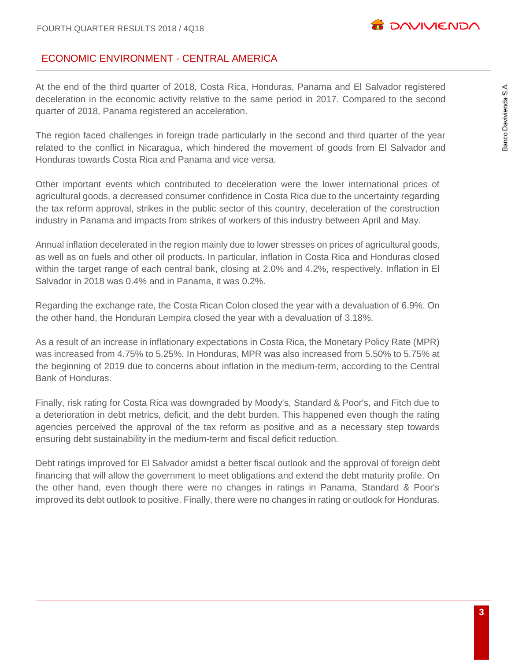# ECONOMIC ENVIRONMENT - CENTRAL AMERICA

At the end of the third quarter of 2018, Costa Rica, Honduras, Panama and El Salvador registered deceleration in the economic activity relative to the same period in 2017. Compared to the second quarter of 2018, Panama registered an acceleration.

The region faced challenges in foreign trade particularly in the second and third quarter of the year related to the conflict in Nicaragua, which hindered the movement of goods from El Salvador and Honduras towards Costa Rica and Panama and vice versa.

Other important events which contributed to deceleration were the lower international prices of agricultural goods, a decreased consumer confidence in Costa Rica due to the uncertainty regarding the tax reform approval, strikes in the public sector of this country, deceleration of the construction industry in Panama and impacts from strikes of workers of this industry between April and May.

Annual inflation decelerated in the region mainly due to lower stresses on prices of agricultural goods, as well as on fuels and other oil products. In particular, inflation in Costa Rica and Honduras closed within the target range of each central bank, closing at 2.0% and 4.2%, respectively. Inflation in El Salvador in 2018 was 0.4% and in Panama, it was 0.2%.

Regarding the exchange rate, the Costa Rican Colon closed the year with a devaluation of 6.9%. On the other hand, the Honduran Lempira closed the year with a devaluation of 3.18%.

As a result of an increase in inflationary expectations in Costa Rica, the Monetary Policy Rate (MPR) was increased from 4.75% to 5.25%. In Honduras, MPR was also increased from 5.50% to 5.75% at the beginning of 2019 due to concerns about inflation in the medium-term, according to the Central Bank of Honduras.

Finally, risk rating for Costa Rica was downgraded by Moody's, Standard & Poor's, and Fitch due to a deterioration in debt metrics, deficit, and the debt burden. This happened even though the rating agencies perceived the approval of the tax reform as positive and as a necessary step towards ensuring debt sustainability in the medium-term and fiscal deficit reduction.

Debt ratings improved for El Salvador amidst a better fiscal outlook and the approval of foreign debt financing that will allow the government to meet obligations and extend the debt maturity profile. On the other hand, even though there were no changes in ratings in Panama, Standard & Poor's improved its debt outlook to positive. Finally, there were no changes in rating or outlook for Honduras.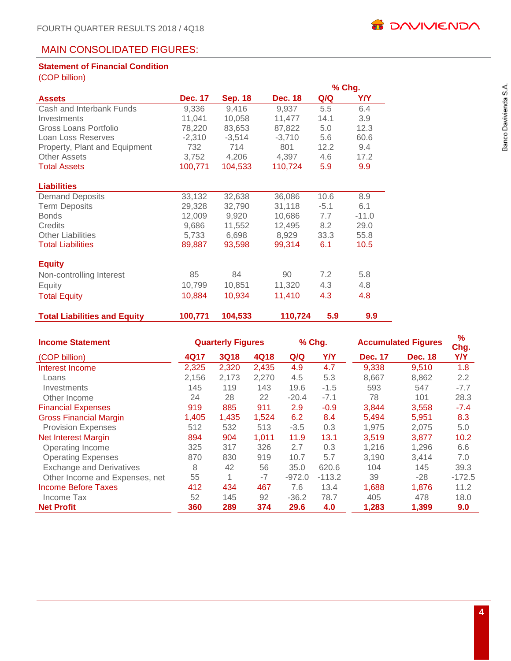# MAIN CONSOLIDATED FIGURES:

# **Statement of Financial Condition**

(COP billion)

|                                     |                |                |                |        | % Chg.  |
|-------------------------------------|----------------|----------------|----------------|--------|---------|
| <b>Assets</b>                       | <b>Dec. 17</b> | <b>Sep. 18</b> | <b>Dec. 18</b> | Q/Q    | Y/Y     |
| Cash and Interbank Funds            | 9,336          | 9,416          | 9,937          | 5.5    | 6.4     |
| Investments                         | 11,041         | 10,058         | 11,477         | 14.1   | 3.9     |
| Gross Loans Portfolio               | 78,220         | 83,653         | 87,822         | 5.0    | 12.3    |
| Loan Loss Reserves                  | $-2,310$       | $-3,514$       | $-3,710$       | 5.6    | 60.6    |
| Property, Plant and Equipment       | 732            | 714            | 801            | 12.2   | 9.4     |
| <b>Other Assets</b>                 | 3,752          | 4,206          | 4,397          | 4.6    | 17.2    |
| <b>Total Assets</b>                 | 100,771        | 104,533        | 110,724        | 5.9    | 9.9     |
|                                     |                |                |                |        |         |
| <b>Liabilities</b>                  |                |                |                |        |         |
| <b>Demand Deposits</b>              | 33,132         | 32,638         | 36,086         | 10.6   | 8.9     |
| <b>Term Deposits</b>                | 29,328         | 32,790         | 31,118         | $-5.1$ | 6.1     |
| <b>Bonds</b>                        | 12,009         | 9,920          | 10,686         | 7.7    | $-11.0$ |
| Credits                             | 9,686          | 11,552         | 12,495         | 8.2    | 29.0    |
| <b>Other Liabilities</b>            | 5,733          | 6,698          | 8,929          | 33.3   | 55.8    |
| <b>Total Liabilities</b>            | 89,887         | 93,598         | 99,314         | 6.1    | 10.5    |
|                                     |                |                |                |        |         |
| <b>Equity</b>                       |                |                |                |        |         |
| Non-controlling Interest            | 85             | 84             | 90             | 7.2    | 5.8     |
| Equity                              | 10,799         | 10,851         | 11,320         | 4.3    | 4.8     |
| <b>Total Equity</b>                 | 10,884         | 10,934         | 11,410         | 4.3    | 4.8     |
| <b>Total Liabilities and Equity</b> | 100,771        | 104,533        | 110,724        | 5.9    | 9.9     |

| <b>Income Statement</b>         | <b>Quarterly Figures</b> |             |             |          | % Chg.     | <b>Accumulated Figures</b> | $\frac{9}{6}$<br>Chg. |            |
|---------------------------------|--------------------------|-------------|-------------|----------|------------|----------------------------|-----------------------|------------|
| (COP billion)                   | 4Q17                     | <b>3Q18</b> | <b>4Q18</b> | Q/Q      | <b>Y/Y</b> | <b>Dec. 17</b>             | <b>Dec. 18</b>        | <b>Y/Y</b> |
| Interest Income                 | 2,325                    | 2,320       | 2,435       | 4.9      | 4.7        | 9,338                      | 9,510                 | 1.8        |
| Loans                           | 2,156                    | 2,173       | 2,270       | 4.5      | 5.3        | 8,667                      | 8,862                 | 2.2        |
| Investments                     | 145                      | 119         | 143         | 19.6     | $-1.5$     | 593                        | 547                   | $-7.7$     |
| Other Income                    | 24                       | 28          | 22          | $-20.4$  | $-7.1$     | 78                         | 101                   | 28.3       |
| <b>Financial Expenses</b>       | 919                      | 885         | 911         | 2.9      | $-0.9$     | 3,844                      | 3,558                 | $-7.4$     |
| <b>Gross Financial Margin</b>   | 1,405                    | 1,435       | 1,524       | 6.2      | 8.4        | 5,494                      | 5,951                 | 8.3        |
| <b>Provision Expenses</b>       | 512                      | 532         | 513         | $-3.5$   | 0.3        | 1,975                      | 2,075                 | 5.0        |
| <b>Net Interest Margin</b>      | 894                      | 904         | 1,011       | 11.9     | 13.1       | 3,519                      | 3,877                 | 10.2       |
| Operating Income                | 325                      | 317         | 326         | 2.7      | 0.3        | 1,216                      | 1,296                 | 6.6        |
| <b>Operating Expenses</b>       | 870                      | 830         | 919         | 10.7     | 5.7        | 3,190                      | 3.414                 | 7.0        |
| <b>Exchange and Derivatives</b> | 8                        | 42          | 56          | 35.0     | 620.6      | 104                        | 145                   | 39.3       |
| Other Income and Expenses, net  | 55                       | 1           | $-7$        | $-972.0$ | $-113.2$   | 39                         | $-28$                 | $-172.5$   |
| <b>Income Before Taxes</b>      | 412                      | 434         | 467         | 7.6      | 13.4       | 1,688                      | 1,876                 | 11.2       |
| Income Tax                      | 52                       | 145         | 92          | $-36.2$  | 78.7       | 405                        | 478                   | 18.0       |
| <b>Net Profit</b>               | 360                      | 289         | 374         | 29.6     | 4.0        | 1,283                      | 1,399                 | 9.0        |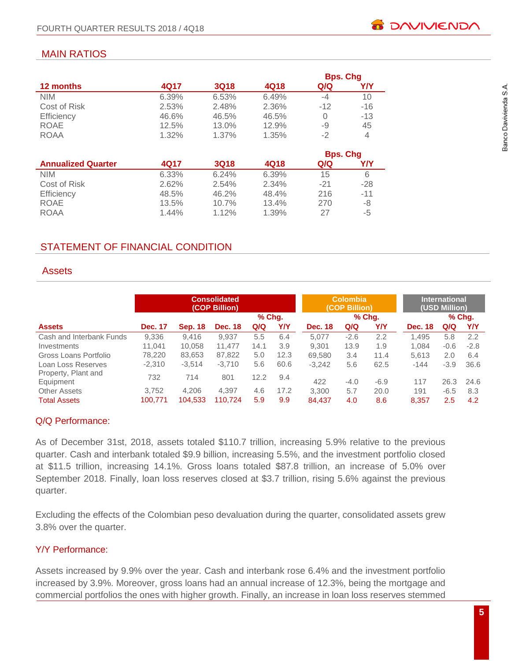# MAIN RATIOS

|                           |       |             |       | <b>Bps. Chg</b> |       |
|---------------------------|-------|-------------|-------|-----------------|-------|
| 12 months                 | 4Q17  | <b>3Q18</b> | 4Q18  | Q/Q             | Y/Y   |
| <b>NIM</b>                | 6.39% | 6.53%       | 6.49% | $-4$            | 10    |
| Cost of Risk              | 2.53% | 2.48%       | 2.36% | $-12$           | $-16$ |
| Efficiency                | 46.6% | 46.5%       | 46.5% | $\Omega$        | $-13$ |
| <b>ROAE</b>               | 12.5% | 13.0%       | 12.9% | -9              | 45    |
| <b>ROAA</b>               | 1.32% | 1.37%       | 1.35% | $-2$            | 4     |
|                           |       |             |       |                 |       |
|                           |       |             |       | <b>Bps. Chg</b> |       |
| <b>Annualized Quarter</b> | 4Q17  | <b>3Q18</b> | 4Q18  | Q/Q             | Y/Y   |
| <b>NIM</b>                | 6.33% | 6.24%       | 6.39% | 15              | 6     |
| Cost of Risk              | 2.62% | 2.54%       | 2.34% | $-21$           | $-28$ |
| Efficiency                | 48.5% | 46.2%       | 48.4% | 216             | $-11$ |
| <b>ROAE</b>               | 13.5% | 10.7%       | 13.4% | 270             | -8    |
| <b>ROAA</b>               | 1.44% | 1.12%       | 1.39% | 27              | -5    |

# STATEMENT OF FINANCIAL CONDITION

# **Assets**

| <b>Consolidated</b><br>(COP Billion) |                |                |                |      |        | <b>Colombia</b><br>(COP Billion) |        | <b>International</b><br>(USD Million) |                |        |        |
|--------------------------------------|----------------|----------------|----------------|------|--------|----------------------------------|--------|---------------------------------------|----------------|--------|--------|
|                                      |                |                |                |      | % Chg. | % Chq.                           |        |                                       | % Chg.         |        |        |
| <b>Assets</b>                        | <b>Dec. 17</b> | <b>Sep. 18</b> | <b>Dec. 18</b> | Q/Q  | Y/Y    | <b>Dec. 18</b>                   | Q/Q    | Y/Y                                   | <b>Dec. 18</b> | Q/Q    | Y/Y    |
| Cash and Interbank Funds             | 9,336          | 9.416          | 9.937          | 5.5  | 6.4    | 5.077                            | $-2.6$ | 2.2                                   | 1.495          | 5.8    | 2.2    |
| Investments                          | 11.041         | 10.058         | 11.477         | 14.1 | 3.9    | 9.301                            | 13.9   | 1.9                                   | 1.084          | $-0.6$ | $-2.8$ |
| Gross Loans Portfolio                | 78,220         | 83,653         | 87.822         | 5.0  | 12.3   | 69.580                           | 3.4    | 11.4                                  | 5.613          | 2.0    | 6.4    |
| Loan Loss Reserves                   | $-2,310$       | $-3,514$       | $-3.710$       | 5.6  | 60.6   | $-3.242$                         | 5.6    | 62.5                                  | $-144$         | $-3.9$ | 36.6   |
| Property, Plant and<br>Equipment     | 732            | 714            | 801            | 12.2 | 9.4    | 422                              | $-4.0$ | $-6.9$                                | 117            | 26.3   | 24.6   |
| <b>Other Assets</b>                  | 3.752          | 4.206          | 4.397          | 4.6  | 17.2   | 3.300                            | 5.7    | 20.0                                  | 191            | $-6.5$ | 8.3    |
| <b>Total Assets</b>                  | 100.771        | 104,533        | 110.724        | 5.9  | 9.9    | 84.437                           | 4.0    | 8.6                                   | 8.357          | 2.5    | 4.2    |

# Q/Q Performance:

As of December 31st, 2018, assets totaled \$110.7 trillion, increasing 5.9% relative to the previous quarter. Cash and interbank totaled \$9.9 billion, increasing 5.5%, and the investment portfolio closed at \$11.5 trillion, increasing 14.1%. Gross loans totaled \$87.8 trillion, an increase of 5.0% over September 2018. Finally, loan loss reserves closed at \$3.7 trillion, rising 5.6% against the previous quarter.

Excluding the effects of the Colombian peso devaluation during the quarter, consolidated assets grew 3.8% over the quarter.

# Y/Y Performance:

Assets increased by 9.9% over the year. Cash and interbank rose 6.4% and the investment portfolio increased by 3.9%. Moreover, gross loans had an annual increase of 12.3%, being the mortgage and commercial portfolios the ones with higher growth. Finally, an increase in loan loss reserves stemmed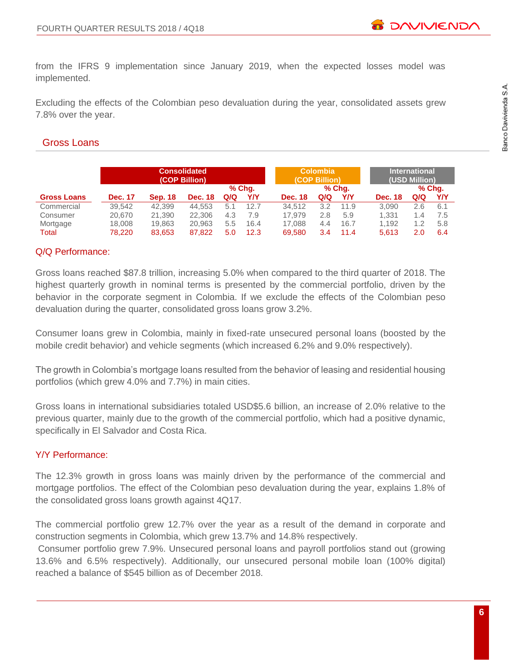from the IFRS 9 implementation since January 2019, when the expected losses model was implemented.

Excluding the effects of the Colombian peso devaluation during the year, consolidated assets grew 7.8% over the year.

# Gross Loans

|                    | <b>Consolidated</b><br>(COP Billion) |                |                |     |        |                | <b>Colombia</b><br>(COP Billion) |        | <b>International</b><br>(USD Million) |     |        |
|--------------------|--------------------------------------|----------------|----------------|-----|--------|----------------|----------------------------------|--------|---------------------------------------|-----|--------|
|                    |                                      |                |                |     | % Chq. |                |                                  | % Chq. |                                       |     | % Chq. |
| <b>Gross Loans</b> | <b>Dec. 17</b>                       | <b>Sep. 18</b> | <b>Dec. 18</b> | Q/Q | Y/Y    | <b>Dec. 18</b> | Q/Q                              | Y/Y    | <b>Dec. 18</b>                        | Q/Q | Y/Y    |
| Commercial         | 39.542                               | 42.399         | 44.553         | 5.1 | 12.7   | 34.512         | 3.2                              | 11.9   | 3.090                                 | 2.6 | 6.1    |
| Consumer           | 20.670                               | 21.390         | 22,306         | 4.3 | 7.9    | 17.979         | 2.8                              | 5.9    | 1.331                                 | 1.4 | 7.5    |
| Mortgage           | 18,008                               | 19.863         | 20.963         | 5.5 | 16.4   | 17.088         | 4.4                              | 16.7   | 1.192                                 | 1.2 | 5.8    |
| Total              | 78.220                               | 83.653         | 87.822         | 5.0 | 12.3   | 69.580         | 3.4                              | 11.4   | 5.613                                 | 2.0 | 6.4    |

# Q/Q Performance:

Gross loans reached \$87.8 trillion, increasing 5.0% when compared to the third quarter of 2018. The highest quarterly growth in nominal terms is presented by the commercial portfolio, driven by the behavior in the corporate segment in Colombia. If we exclude the effects of the Colombian peso devaluation during the quarter, consolidated gross loans grow 3.2%.

Consumer loans grew in Colombia, mainly in fixed-rate unsecured personal loans (boosted by the mobile credit behavior) and vehicle segments (which increased 6.2% and 9.0% respectively).

The growth in Colombia's mortgage loans resulted from the behavior of leasing and residential housing portfolios (which grew 4.0% and 7.7%) in main cities.

Gross loans in international subsidiaries totaled USD\$5.6 billion, an increase of 2.0% relative to the previous quarter, mainly due to the growth of the commercial portfolio, which had a positive dynamic, specifically in El Salvador and Costa Rica.

# Y/Y Performance:

The 12.3% growth in gross loans was mainly driven by the performance of the commercial and mortgage portfolios. The effect of the Colombian peso devaluation during the year, explains 1.8% of the consolidated gross loans growth against 4Q17.

The commercial portfolio grew 12.7% over the year as a result of the demand in corporate and construction segments in Colombia, which grew 13.7% and 14.8% respectively.

Consumer portfolio grew 7.9%. Unsecured personal loans and payroll portfolios stand out (growing 13.6% and 6.5% respectively). Additionally, our unsecured personal mobile loan (100% digital) reached a balance of \$545 billion as of December 2018.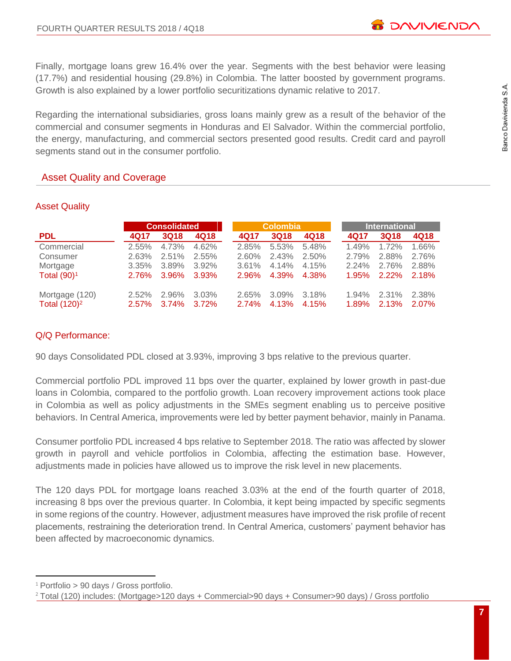Finally, mortgage loans grew 16.4% over the year. Segments with the best behavior were leasing (17.7%) and residential housing (29.8%) in Colombia. The latter boosted by government programs. Growth is also explained by a lower portfolio securitizations dynamic relative to 2017.

Regarding the international subsidiaries, gross loans mainly grew as a result of the behavior of the commercial and consumer segments in Honduras and El Salvador. Within the commercial portfolio, the energy, manufacturing, and commercial sectors presented good results. Credit card and payroll segments stand out in the consumer portfolio.

# Asset Quality and Coverage

|                 |              | <b>Consolidated</b> |          |          | <b>Colombia</b> |       |       | <b>International</b> |       |  |  |
|-----------------|--------------|---------------------|----------|----------|-----------------|-------|-------|----------------------|-------|--|--|
| <b>PDL</b>      | 4Q17         | 3Q18                | 4Q18     | 4Q17     | <b>3Q18</b>     | 4Q18  | 4Q17  | <b>3Q18</b>          | 4Q18  |  |  |
| Commercial      | $2.55\%$     | 4.73%               | 4.62%    | 2.85%    | 5.53%           | 5.48% | 1.49% | 1.72%                | 1.66% |  |  |
| Consumer        | $2.63\%$     | $2.51\%$            | $2.55\%$ | 2.60%    | 2.43%           | 2.50% | 2.79% | 2.88%                | 2.76% |  |  |
| Mortgage        | $3.35\%$     | 3.89%               | $3.92\%$ | $3.61\%$ | 4.14%           | 4.15% | 2.24% | 2.76%                | 2.88% |  |  |
| Total $(90)^1$  | <b>2.76%</b> | $3.96\%$            | 3.93%    | $2.96\%$ | 4.39%           | 4.38% | 1.95% | $2.22\%$             | 2.18% |  |  |
| Mortgage (120)  | $2.52\%$     | 2.96%               | 3.03%    | 2.65%    | $3.09\%$        | 3.18% | 1.94% | 2.31%                | 2.38% |  |  |
| Total $(120)^2$ | $2.57\%$     | $3.74\%$            | $3.72\%$ | 2.74%    | 4.13%           | 4.15% | 1.89% | 2.13%                | 2.07% |  |  |

# Asset Quality

# Q/Q Performance:

90 days Consolidated PDL closed at 3.93%, improving 3 bps relative to the previous quarter.

Commercial portfolio PDL improved 11 bps over the quarter, explained by lower growth in past-due loans in Colombia, compared to the portfolio growth. Loan recovery improvement actions took place in Colombia as well as policy adjustments in the SMEs segment enabling us to perceive positive behaviors. In Central America, improvements were led by better payment behavior, mainly in Panama.

Consumer portfolio PDL increased 4 bps relative to September 2018. The ratio was affected by slower growth in payroll and vehicle portfolios in Colombia, affecting the estimation base. However, adjustments made in policies have allowed us to improve the risk level in new placements.

The 120 days PDL for mortgage loans reached 3.03% at the end of the fourth quarter of 2018, increasing 8 bps over the previous quarter. In Colombia, it kept being impacted by specific segments in some regions of the country. However, adjustment measures have improved the risk profile of recent placements, restraining the deterioration trend. In Central America, customers' payment behavior has been affected by macroeconomic dynamics.

 $\overline{a}$ <sup>1</sup> Portfolio > 90 days / Gross portfolio.

<sup>2</sup> Total (120) includes: (Mortgage>120 days + Commercial>90 days + Consumer>90 days) / Gross portfolio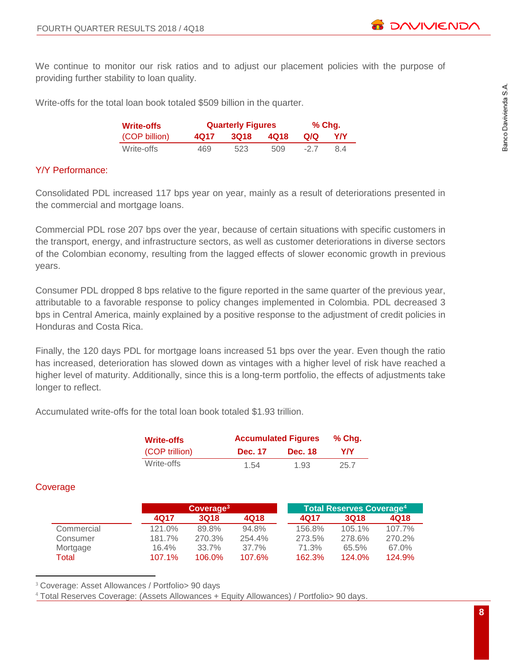We continue to monitor our risk ratios and to adjust our placement policies with the purpose of providing further stability to loan quality.

Write-offs for the total loan book totaled \$509 billion in the quarter.

| <b>Write-offs</b> |      | <b>Quarterly Figures</b> | $%$ Chg. |       |     |  |
|-------------------|------|--------------------------|----------|-------|-----|--|
| (COP billion)     | 4Q17 | <b>3Q18</b>              | 4018     | Q/Q   | YN. |  |
| Write-offs        | 469  | 523                      | 509      | $-27$ | 84  |  |

# Y/Y Performance:

Consolidated PDL increased 117 bps year on year, mainly as a result of deteriorations presented in the commercial and mortgage loans.

Commercial PDL rose 207 bps over the year, because of certain situations with specific customers in the transport, energy, and infrastructure sectors, as well as customer deteriorations in diverse sectors of the Colombian economy, resulting from the lagged effects of slower economic growth in previous years.

Consumer PDL dropped 8 bps relative to the figure reported in the same quarter of the previous year, attributable to a favorable response to policy changes implemented in Colombia. PDL decreased 3 bps in Central America, mainly explained by a positive response to the adjustment of credit policies in Honduras and Costa Rica.

Finally, the 120 days PDL for mortgage loans increased 51 bps over the year. Even though the ratio has increased, deterioration has slowed down as vintages with a higher level of risk have reached a higher level of maturity. Additionally, since this is a long-term portfolio, the effects of adjustments take longer to reflect.

Accumulated write-offs for the total loan book totaled \$1.93 trillion.

| Write-offs     |                | <b>Accumulated Figures</b> |      |  |  |  |  |
|----------------|----------------|----------------------------|------|--|--|--|--|
| (COP trillion) | <b>Dec. 17</b> | <b>Dec. 18</b>             | YN   |  |  |  |  |
| Write-offs     | 1.54           | 1.93                       | 25.7 |  |  |  |  |

# **Coverage**

 $\overline{a}$ 

|            |        | Coverage <sup>3</sup> |             |        | ∣ Total Reserves Cov <u>erage<sup>41</sup></u> |           |
|------------|--------|-----------------------|-------------|--------|------------------------------------------------|-----------|
|            | 4017   | 3018                  | <b>4Q18</b> | 4017   | 3018                                           | 4Q18      |
| Commercial | 121.0% | 89.8%                 | 94.8%       | 156.8% | 105.1%                                         | $107.7\%$ |
| Consumer   | 181.7% | 270.3%                | $254.4\%$   | 273.5% | 278.6%                                         | 270.2%    |
| Mortgage   | 16.4%  | 33.7%                 | 37.7%       | 71.3%  | 65.5%                                          | 67.0%     |
| Total      | 107.1% | 106.0%                | 107.6%      | 162.3% | $124.0\%$                                      | 124.9%    |

<sup>3</sup> Coverage: Asset Allowances / Portfolio > 90 days

<sup>4</sup> Total Reserves Coverage: (Assets Allowances + Equity Allowances) / Portfolio> 90 days.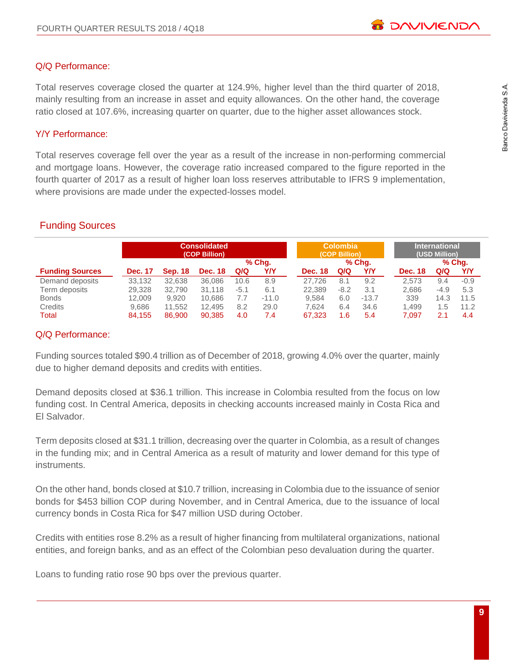# Q/Q Performance:

Total reserves coverage closed the quarter at 124.9%, higher level than the third quarter of 2018, mainly resulting from an increase in asset and equity allowances. On the other hand, the coverage ratio closed at 107.6%, increasing quarter on quarter, due to the higher asset allowances stock.

# Y/Y Performance:

Total reserves coverage fell over the year as a result of the increase in non-performing commercial and mortgage loans. However, the coverage ratio increased compared to the figure reported in the fourth quarter of 2017 as a result of higher loan loss reserves attributable to IFRS 9 implementation, where provisions are made under the expected-losses model.

# Funding Sources

|                        | <b>Consolidated</b><br>(COP Billion) |                |                |        |         |                | <b>Colombia</b><br>(COP Billion) |         | <b>International</b><br>(USD Million) |        |        |  |
|------------------------|--------------------------------------|----------------|----------------|--------|---------|----------------|----------------------------------|---------|---------------------------------------|--------|--------|--|
|                        |                                      |                |                | % Chq. |         |                | % Chq.                           |         |                                       | % Chq. |        |  |
| <b>Funding Sources</b> | <b>Dec. 17</b>                       | <b>Sep. 18</b> | <b>Dec. 18</b> | Q/Q    | Y/Y     | <b>Dec. 18</b> | Q/Q                              | Y/Y     | <b>Dec. 18</b>                        | Q/Q    | YN     |  |
| Demand deposits        | 33.132                               | 32.638         | 36.086         | 10.6   | 8.9     | 27.726         | 8.1                              | 9.2     | 2.573                                 | 9.4    | $-0.9$ |  |
| Term deposits          | 29.328                               | 32.790         | 31.118         | $-5.1$ | 6.1     | 22.389         | $-8.2$                           | 3.1     | 2.686                                 | $-4.9$ | 5.3    |  |
| <b>Bonds</b>           | 12,009                               | 9.920          | 10.686         | 7.7    | $-11.0$ | 9.584          | 6.0                              | $-13.7$ | 339                                   | 14.3   | 11.5   |  |
| Credits                | 9.686                                | 11.552         | 12.495         | 8.2    | 29.0    | 7.624          | 6.4                              | 34.6    | 1.499                                 | 1.5    | 11.2   |  |
| Total                  | 84.155                               | 86,900         | 90.385         | 4.0    | 7.4     | 67.323         | 1.6                              | 5.4     | 7.097                                 | 2.1    | 4.4    |  |

# Q/Q Performance:

Funding sources totaled \$90.4 trillion as of December of 2018, growing 4.0% over the quarter, mainly due to higher demand deposits and credits with entities.

Demand deposits closed at \$36.1 trillion. This increase in Colombia resulted from the focus on low funding cost. In Central America, deposits in checking accounts increased mainly in Costa Rica and El Salvador.

Term deposits closed at \$31.1 trillion, decreasing over the quarter in Colombia, as a result of changes in the funding mix; and in Central America as a result of maturity and lower demand for this type of instruments.

On the other hand, bonds closed at \$10.7 trillion, increasing in Colombia due to the issuance of senior bonds for \$453 billion COP during November, and in Central America, due to the issuance of local currency bonds in Costa Rica for \$47 million USD during October.

Credits with entities rose 8.2% as a result of higher financing from multilateral organizations, national entities, and foreign banks, and as an effect of the Colombian peso devaluation during the quarter.

Loans to funding ratio rose 90 bps over the previous quarter.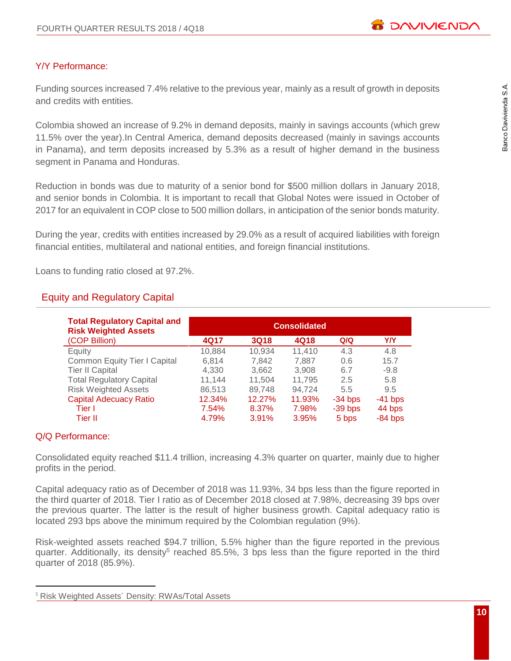

# Y/Y Performance:

Funding sources increased 7.4% relative to the previous year, mainly as a result of growth in deposits and credits with entities.

Colombia showed an increase of 9.2% in demand deposits, mainly in savings accounts (which grew 11.5% over the year).In Central America, demand deposits decreased (mainly in savings accounts in Panama), and term deposits increased by 5.3% as a result of higher demand in the business segment in Panama and Honduras.

Reduction in bonds was due to maturity of a senior bond for \$500 million dollars in January 2018, and senior bonds in Colombia. It is important to recall that Global Notes were issued in October of 2017 for an equivalent in COP close to 500 million dollars, in anticipation of the senior bonds maturity.

During the year, credits with entities increased by 29.0% as a result of acquired liabilities with foreign financial entities, multilateral and national entities, and foreign financial institutions.

Loans to funding ratio closed at 97.2%.

# Equity and Regulatory Capital

| <b>Total Regulatory Capital and</b><br><b>Risk Weighted Assets</b> | <b>Consolidated</b> |             |        |           |           |  |  |  |  |
|--------------------------------------------------------------------|---------------------|-------------|--------|-----------|-----------|--|--|--|--|
| (COP Billion)                                                      | 4Q17                | <b>3Q18</b> | 4Q18   | Q/Q       | YN        |  |  |  |  |
| Equity                                                             | 10,884              | 10,934      | 11,410 | 4.3       | 4.8       |  |  |  |  |
| <b>Common Equity Tier I Capital</b>                                | 6,814               | 7.842       | 7,887  | 0.6       | 15.7      |  |  |  |  |
| <b>Tier II Capital</b>                                             | 4,330               | 3,662       | 3.908  | 6.7       | $-9.8$    |  |  |  |  |
| <b>Total Regulatory Capital</b>                                    | 11.144              | 11.504      | 11.795 | 2.5       | 5.8       |  |  |  |  |
| <b>Risk Weighted Assets</b>                                        | 86,513              | 89,748      | 94.724 | 5.5       | 9.5       |  |  |  |  |
| <b>Capital Adecuacy Ratio</b>                                      | 12.34%              | 12.27%      | 11.93% | $-34$ bps | $-41$ bps |  |  |  |  |
| Tier I                                                             | 7.54%               | 8.37%       | 7.98%  | $-39$ bps | 44 bps    |  |  |  |  |
| Tier II                                                            | 4.79%               | 3.91%       | 3.95%  | 5 bps     | $-84$ bps |  |  |  |  |

# Q/Q Performance:

 $\overline{a}$ 

Consolidated equity reached \$11.4 trillion, increasing 4.3% quarter on quarter, mainly due to higher profits in the period.

Capital adequacy ratio as of December of 2018 was 11.93%, 34 bps less than the figure reported in the third quarter of 2018. Tier I ratio as of December 2018 closed at 7.98%, decreasing 39 bps over the previous quarter. The latter is the result of higher business growth. Capital adequacy ratio is located 293 bps above the minimum required by the Colombian regulation (9%).

Risk-weighted assets reached \$94.7 trillion, 5.5% higher than the figure reported in the previous quarter. Additionally, its density<sup>5</sup> reached 85.5%, 3 bps less than the figure reported in the third quarter of 2018 (85.9%).

<sup>5</sup> Risk Weighted Assets´ Density: RWAs/Total Assets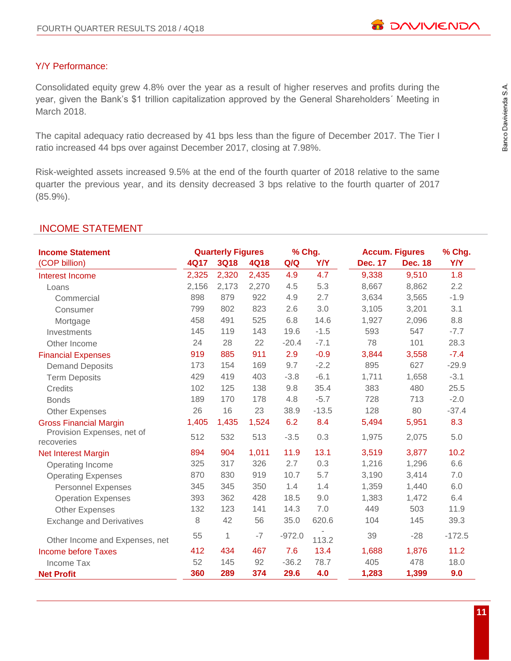# Y/Y Performance:

Consolidated equity grew 4.8% over the year as a result of higher reserves and profits during the year, given the Bank's \$1 trillion capitalization approved by the General Shareholders´ Meeting in March 2018.

The capital adequacy ratio decreased by 41 bps less than the figure of December 2017. The Tier I ratio increased 44 bps over against December 2017, closing at 7.98%.

Risk-weighted assets increased 9.5% at the end of the fourth quarter of 2018 relative to the same quarter the previous year, and its density decreased 3 bps relative to the fourth quarter of 2017 (85.9%).

# INCOME STATEMENT

| <b>Income Statement</b>                  |       | <b>Quarterly Figures</b> |             | % Chg.   |            | <b>Accum. Figures</b> |                | % Chg.     |
|------------------------------------------|-------|--------------------------|-------------|----------|------------|-----------------------|----------------|------------|
| (COP billion)                            | 4Q17  | <b>3Q18</b>              | <b>4Q18</b> | Q/Q      | <b>Y/Y</b> | <b>Dec. 17</b>        | <b>Dec. 18</b> | <b>Y/Y</b> |
| Interest Income                          | 2,325 | 2,320                    | 2,435       | 4.9      | 4.7        | 9,338                 | 9,510          | 1.8        |
| Loans                                    | 2,156 | 2,173                    | 2,270       | 4.5      | 5.3        | 8,667                 | 8,862          | 2.2        |
| Commercial                               | 898   | 879                      | 922         | 4.9      | 2.7        | 3,634                 | 3,565          | $-1.9$     |
| Consumer                                 | 799   | 802                      | 823         | 2.6      | 3.0        | 3,105                 | 3,201          | 3.1        |
| Mortgage                                 | 458   | 491                      | 525         | 6.8      | 14.6       | 1,927                 | 2,096          | 8.8        |
| Investments                              | 145   | 119                      | 143         | 19.6     | $-1.5$     | 593                   | 547            | $-7.7$     |
| Other Income                             | 24    | 28                       | 22          | $-20.4$  | $-7.1$     | 78                    | 101            | 28.3       |
| <b>Financial Expenses</b>                | 919   | 885                      | 911         | 2.9      | $-0.9$     | 3,844                 | 3,558          | $-7.4$     |
| <b>Demand Deposits</b>                   | 173   | 154                      | 169         | 9.7      | $-2.2$     | 895                   | 627            | $-29.9$    |
| <b>Term Deposits</b>                     | 429   | 419                      | 403         | $-3.8$   | $-6.1$     | 1,711                 | 1,658          | $-3.1$     |
| Credits                                  | 102   | 125                      | 138         | 9.8      | 35.4       | 383                   | 480            | 25.5       |
| <b>Bonds</b>                             | 189   | 170                      | 178         | 4.8      | $-5.7$     | 728                   | 713            | $-2.0$     |
| <b>Other Expenses</b>                    | 26    | 16                       | 23          | 38.9     | $-13.5$    | 128                   | 80             | $-37.4$    |
| <b>Gross Financial Margin</b>            | 1,405 | 1,435                    | 1,524       | 6.2      | 8.4        | 5,494                 | 5,951          | 8.3        |
| Provision Expenses, net of<br>recoveries | 512   | 532                      | 513         | $-3.5$   | 0.3        | 1,975                 | 2,075          | 5.0        |
| <b>Net Interest Margin</b>               | 894   | 904                      | 1,011       | 11.9     | 13.1       | 3,519                 | 3,877          | 10.2       |
| Operating Income                         | 325   | 317                      | 326         | 2.7      | 0.3        | 1,216                 | 1,296          | 6.6        |
| <b>Operating Expenses</b>                | 870   | 830                      | 919         | 10.7     | 5.7        | 3,190                 | 3,414          | 7.0        |
| <b>Personnel Expenses</b>                | 345   | 345                      | 350         | 1.4      | 1.4        | 1,359                 | 1,440          | 6.0        |
| <b>Operation Expenses</b>                | 393   | 362                      | 428         | 18.5     | 9.0        | 1,383                 | 1,472          | 6.4        |
| <b>Other Expenses</b>                    | 132   | 123                      | 141         | 14.3     | 7.0        | 449                   | 503            | 11.9       |
| <b>Exchange and Derivatives</b>          | 8     | 42                       | 56          | 35.0     | 620.6      | 104                   | 145            | 39.3       |
| Other Income and Expenses, net           | 55    | $\mathbf 1$              | $-7$        | $-972.0$ | 113.2      | 39                    | $-28$          | $-172.5$   |
| <b>Income before Taxes</b>               | 412   | 434                      | 467         | 7.6      | 13.4       | 1,688                 | 1,876          | 11.2       |
| Income Tax                               | 52    | 145                      | 92          | $-36.2$  | 78.7       | 405                   | 478            | 18.0       |
| <b>Net Profit</b>                        | 360   | 289                      | 374         | 29.6     | 4.0        | 1,283                 | 1,399          | 9.0        |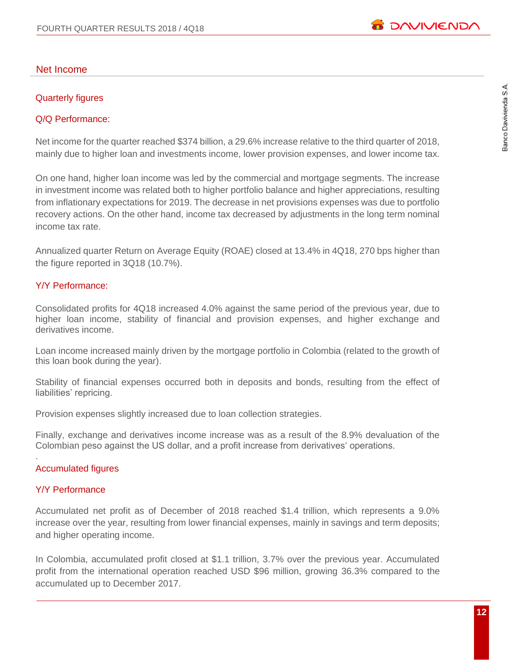# Net Income

# Quarterly figures

# Q/Q Performance:

Net income for the quarter reached \$374 billion, a 29.6% increase relative to the third quarter of 2018, mainly due to higher loan and investments income, lower provision expenses, and lower income tax.

On one hand, higher loan income was led by the commercial and mortgage segments. The increase in investment income was related both to higher portfolio balance and higher appreciations, resulting from inflationary expectations for 2019. The decrease in net provisions expenses was due to portfolio recovery actions. On the other hand, income tax decreased by adjustments in the long term nominal income tax rate.

Annualized quarter Return on Average Equity (ROAE) closed at 13.4% in 4Q18, 270 bps higher than the figure reported in 3Q18 (10.7%).

# Y/Y Performance:

Consolidated profits for 4Q18 increased 4.0% against the same period of the previous year, due to higher loan income, stability of financial and provision expenses, and higher exchange and derivatives income.

Loan income increased mainly driven by the mortgage portfolio in Colombia (related to the growth of this loan book during the year).

Stability of financial expenses occurred both in deposits and bonds, resulting from the effect of liabilities' repricing.

Provision expenses slightly increased due to loan collection strategies.

Finally, exchange and derivatives income increase was as a result of the 8.9% devaluation of the Colombian peso against the US dollar, and a profit increase from derivatives' operations.

# Accumulated figures

# Y/Y Performance

.

Accumulated net profit as of December of 2018 reached \$1.4 trillion, which represents a 9.0% increase over the year, resulting from lower financial expenses, mainly in savings and term deposits; and higher operating income.

In Colombia, accumulated profit closed at \$1.1 trillion, 3.7% over the previous year. Accumulated profit from the international operation reached USD \$96 million, growing 36.3% compared to the accumulated up to December 2017.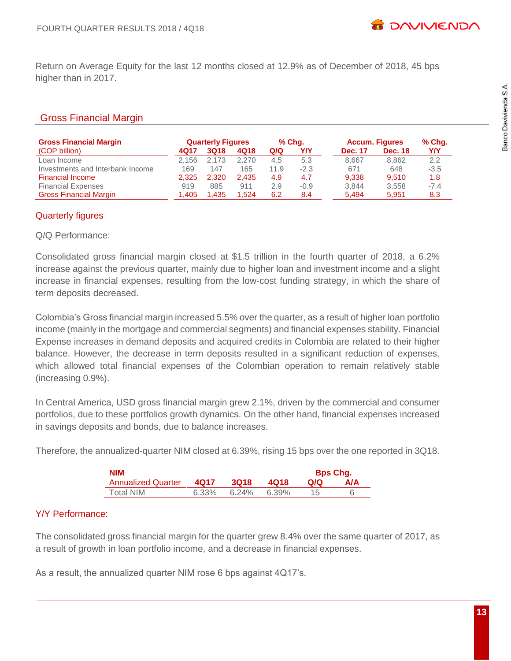Return on Average Equity for the last 12 months closed at 12.9% as of December of 2018, 45 bps higher than in 2017.

# Gross Financial Margin

| <b>Gross Financial Margin</b>    |       | <b>Quarterly Figures</b> |       | % Chq. |        |                | <b>Accum. Figures</b> | % Chg. |
|----------------------------------|-------|--------------------------|-------|--------|--------|----------------|-----------------------|--------|
| (COP billion)                    | 4017  | 3Q18                     | 4Q18  | Q/Q    | Y/Y    | <b>Dec. 17</b> | <b>Dec. 18</b>        | Y/Y    |
| Loan Income                      | 2.156 | 2.173                    | 2.270 | 4.5    | 5.3    | 8.667          | 8.862                 | 2.2    |
| Investments and Interbank Income | 169   | 147                      | 165   | 11.9   | $-2.3$ | 671            | 648                   | $-3.5$ |
| <b>Financial Income</b>          | 2.325 | 2.320                    | 2.435 | 4.9    | 4.7    | 9.338          | 9.510                 | 1.8    |
| <b>Financial Expenses</b>        | 919   | 885                      | 911   | 2.9    | $-0.9$ | 3.844          | 3.558                 | $-7.4$ |
| <b>Gross Financial Margin</b>    | 1,405 | 1,435                    | 1.524 | 6.2    | 8.4    | 5.494          | 5.951                 | 8.3    |

# Quarterly figures

# Q/Q Performance:

Consolidated gross financial margin closed at \$1.5 trillion in the fourth quarter of 2018, a 6.2% increase against the previous quarter, mainly due to higher loan and investment income and a slight increase in financial expenses, resulting from the low-cost funding strategy, in which the share of term deposits decreased.

Colombia's Gross financial margin increased 5.5% over the quarter, as a result of higher loan portfolio income (mainly in the mortgage and commercial segments) and financial expenses stability. Financial Expense increases in demand deposits and acquired credits in Colombia are related to their higher balance. However, the decrease in term deposits resulted in a significant reduction of expenses, which allowed total financial expenses of the Colombian operation to remain relatively stable (increasing 0.9%).

In Central America, USD gross financial margin grew 2.1%, driven by the commercial and consumer portfolios, due to these portfolios growth dynamics. On the other hand, financial expenses increased in savings deposits and bonds, due to balance increases.

Therefore, the annualized-quarter NIM closed at 6.39%, rising 15 bps over the one reported in 3Q18.

| <b>NIM</b>                |       |             |       |      | <b>Bps Chg.</b> |
|---------------------------|-------|-------------|-------|------|-----------------|
| <b>Annualized Quarter</b> | 4017  | <b>3018</b> | 4018  | QIQ. | A/A             |
| Total NIM                 | 6.33% | $6.24\%$    | 6.39% |      |                 |

# Y/Y Performance:

The consolidated gross financial margin for the quarter grew 8.4% over the same quarter of 2017, as a result of growth in loan portfolio income, and a decrease in financial expenses.

As a result, the annualized quarter NIM rose 6 bps against 4Q17's.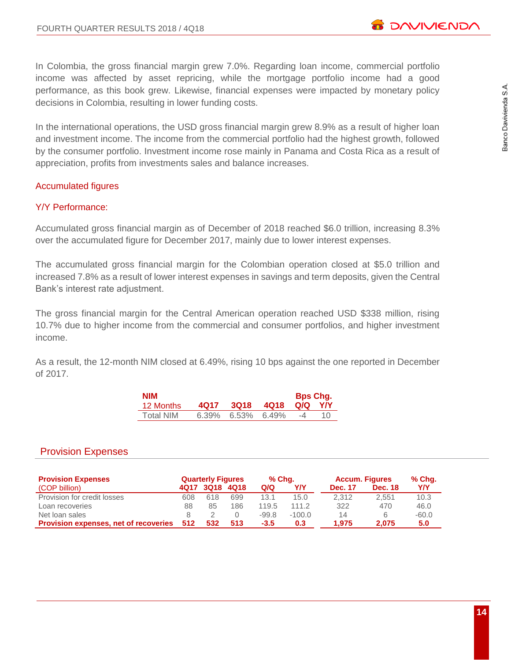

In Colombia, the gross financial margin grew 7.0%. Regarding loan income, commercial portfolio income was affected by asset repricing, while the mortgage portfolio income had a good performance, as this book grew. Likewise, financial expenses were impacted by monetary policy decisions in Colombia, resulting in lower funding costs.

In the international operations, the USD gross financial margin grew 8.9% as a result of higher loan and investment income. The income from the commercial portfolio had the highest growth, followed by the consumer portfolio. Investment income rose mainly in Panama and Costa Rica as a result of appreciation, profits from investments sales and balance increases.

# Accumulated figures

# Y/Y Performance:

Accumulated gross financial margin as of December of 2018 reached \$6.0 trillion, increasing 8.3% over the accumulated figure for December 2017, mainly due to lower interest expenses.

The accumulated gross financial margin for the Colombian operation closed at \$5.0 trillion and increased 7.8% as a result of lower interest expenses in savings and term deposits, given the Central Bank's interest rate adjustment.

The gross financial margin for the Central American operation reached USD \$338 million, rising 10.7% due to higher income from the commercial and consumer portfolios, and higher investment income.

As a result, the 12-month NIM closed at 6.49%, rising 10 bps against the one reported in December of 2017.

| NIM       |      |                            |      | <b>Bps Chg.</b> |    |
|-----------|------|----------------------------|------|-----------------|----|
| 12 Months | 4017 | 3Q18                       | 4018 | Q/Q             | YN |
| Total NIM |      | $6.39\%$ $6.53\%$ $6.49\%$ |      | -4              | 10 |

# Provision Expenses

| <b>Provision Expenses</b>                    |     | <b>Quarterly Figures</b> |      | % Chq.  |          | <b>Accum. Figures</b> |                | % Chq.  |
|----------------------------------------------|-----|--------------------------|------|---------|----------|-----------------------|----------------|---------|
| (COP billion)                                |     | 4Q17 3Q18                | 4Q18 | Q/Q     | Y/Y      | <b>Dec. 17</b>        | <b>Dec. 18</b> | YN      |
| Provision for credit losses                  | 608 | 618                      | 699  | 13.1    | 15.0     | 2.312                 | 2.551          | 10.3    |
| Loan recoveries                              | 88  | 85                       | 186  | 119.5   | 111.2    | 322                   | 470            | 46.0    |
| Net loan sales                               |     |                          |      | $-99.8$ | $-100.0$ | 14                    | 6              | $-60.0$ |
| <b>Provision expenses, net of recoveries</b> | 512 | 532                      | 513  | $-3.5$  | 0.3      | 1.975                 | 2.075          | 5.0     |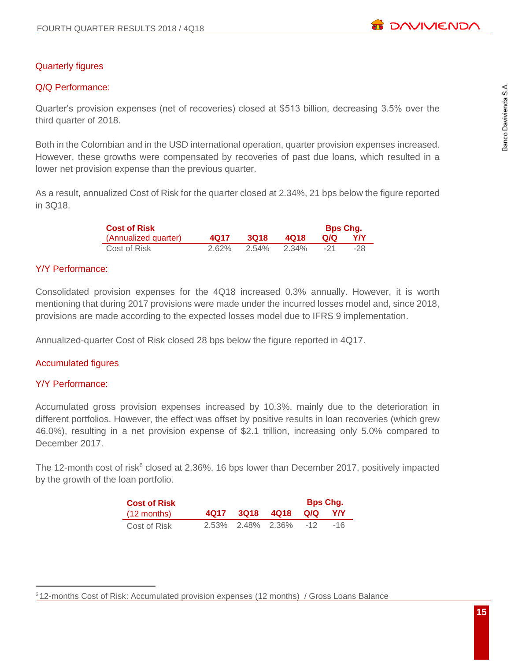# Quarterly figures

# Q/Q Performance:

Quarter's provision expenses (net of recoveries) closed at \$513 billion, decreasing 3.5% over the third quarter of 2018.

Both in the Colombian and in the USD international operation, quarter provision expenses increased. However, these growths were compensated by recoveries of past due loans, which resulted in a lower net provision expense than the previous quarter.

As a result, annualized Cost of Risk for the quarter closed at 2.34%, 21 bps below the figure reported in 3Q18.

| <b>Cost of Risk</b>  |          |             |       | <b>Bps Chq.</b> |     |
|----------------------|----------|-------------|-------|-----------------|-----|
| (Annualized quarter) | 4017     | <b>3018</b> | 4018  | O/Q             | YN  |
| Cost of Risk         | $2.62\%$ | 2.54%       | 2.34% | - 21            | -28 |

# Y/Y Performance:

Consolidated provision expenses for the 4Q18 increased 0.3% annually. However, it is worth mentioning that during 2017 provisions were made under the incurred losses model and, since 2018, provisions are made according to the expected losses model due to IFRS 9 implementation.

Annualized-quarter Cost of Risk closed 28 bps below the figure reported in 4Q17.

#### Accumulated figures

#### Y/Y Performance:

 $\overline{a}$ 

Accumulated gross provision expenses increased by 10.3%, mainly due to the deterioration in different portfolios. However, the effect was offset by positive results in loan recoveries (which grew 46.0%), resulting in a net provision expense of \$2.1 trillion, increasing only 5.0% compared to December 2017.

The 12-month cost of risk $6$  closed at 2.36%, 16 bps lower than December 2017, positively impacted by the growth of the loan portfolio.

| <b>Cost of Risk</b>   |  |                        | <b>Bps Chg.</b> |     |
|-----------------------|--|------------------------|-----------------|-----|
| $(12 \text{ months})$ |  | 4Q17 3Q18 4Q18 Q/Q Y/Y |                 |     |
| Cost of Risk          |  | 2.53% 2.48% 2.36% -12  |                 | -16 |

<sup>6</sup> 12-months Cost of Risk: Accumulated provision expenses (12 months) / Gross Loans Balance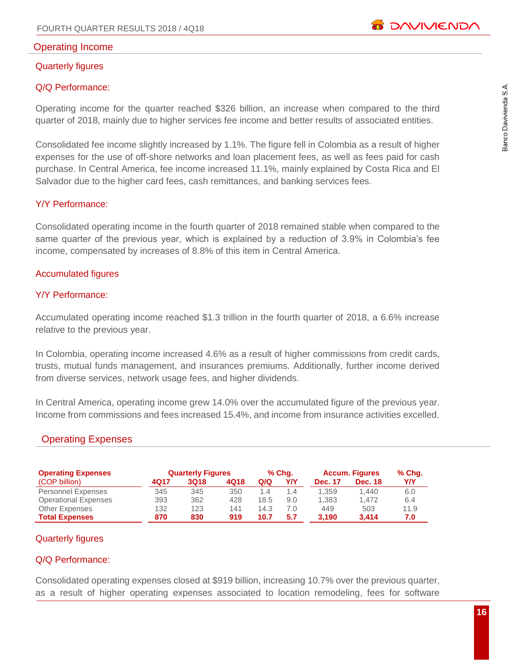

# Operating Income

# Quarterly figures

# Q/Q Performance:

Operating income for the quarter reached \$326 billion, an increase when compared to the third quarter of 2018, mainly due to higher services fee income and better results of associated entities.

Consolidated fee income slightly increased by 1.1%. The figure fell in Colombia as a result of higher expenses for the use of off-shore networks and loan placement fees, as well as fees paid for cash purchase. In Central America, fee income increased 11.1%, mainly explained by Costa Rica and El Salvador due to the higher card fees, cash remittances, and banking services fees.

# Y/Y Performance:

Consolidated operating income in the fourth quarter of 2018 remained stable when compared to the same quarter of the previous year, which is explained by a reduction of 3.9% in Colombia's fee income, compensated by increases of 8.8% of this item in Central America.

# Accumulated figures

# Y/Y Performance:

Accumulated operating income reached \$1.3 trillion in the fourth quarter of 2018, a 6.6% increase relative to the previous year.

In Colombia, operating income increased 4.6% as a result of higher commissions from credit cards, trusts, mutual funds management, and insurances premiums. Additionally, further income derived from diverse services, network usage fees, and higher dividends.

In Central America, operating income grew 14.0% over the accumulated figure of the previous year. Income from commissions and fees increased 15.4%, and income from insurance activities excelled.

# Operating Expenses

| <b>Operating Expenses</b>   |      | <b>Quarterly Figures</b> |      |      | % Chq. |                | <b>Accum. Figures</b> | % Chg. |
|-----------------------------|------|--------------------------|------|------|--------|----------------|-----------------------|--------|
| (COP billion)               | 4Q17 | 3Q18                     | 4Q18 | Q/Q  | Y/Y    | <b>Dec. 17</b> | <b>Dec. 18</b>        | YN     |
| <b>Personnel Expenses</b>   | 345  | 345                      | 350  | 1.4  | 1.4    | 1.359          | 1.440                 | 6.0    |
| <b>Operational Expenses</b> | 393  | 362                      | 428  | 18.5 | 9.0    | 1.383          | 1.472                 | 6.4    |
| <b>Other Expenses</b>       | 132  | 123                      | 141  | 14.3 | 7.0    | 449            | 503                   | 11.9   |
| <b>Total Expenses</b>       | 870  | 830                      | 919  | 10.7 | 5.7    | 3.190          | 3.414                 | 7.0    |

#### Quarterly figures

# Q/Q Performance:

Consolidated operating expenses closed at \$919 billion, increasing 10.7% over the previous quarter, as a result of higher operating expenses associated to location remodeling, fees for software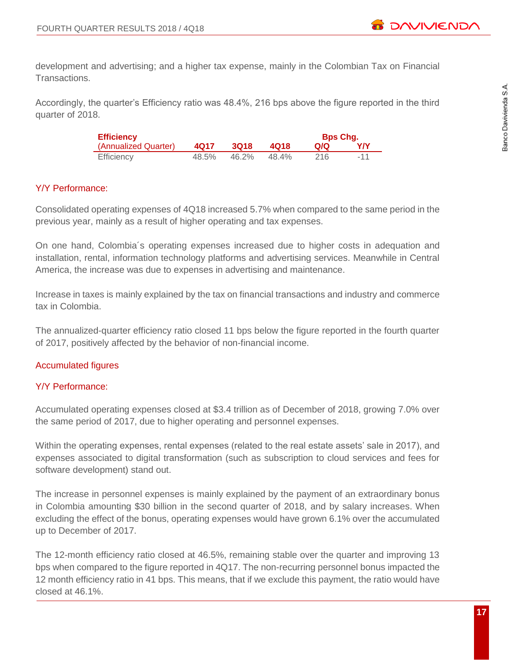development and advertising; and a higher tax expense, mainly in the Colombian Tax on Financial Transactions.

Accordingly, the quarter's Efficiency ratio was 48.4%, 216 bps above the figure reported in the third quarter of 2018.

| <b>Efficiency</b>    |       |             |       | <b>Bps Chg.</b> |       |
|----------------------|-------|-------------|-------|-----------------|-------|
| (Annualized Quarter) | 4017  | <b>3Q18</b> | 4018  | Q/Q             | YN    |
| <b>Efficiency</b>    | 48.5% | 46.2%       | 48.4% | 216             | $-11$ |

# Y/Y Performance:

Consolidated operating expenses of 4Q18 increased 5.7% when compared to the same period in the previous year, mainly as a result of higher operating and tax expenses.

On one hand, Colombia´s operating expenses increased due to higher costs in adequation and installation, rental, information technology platforms and advertising services. Meanwhile in Central America, the increase was due to expenses in advertising and maintenance.

Increase in taxes is mainly explained by the tax on financial transactions and industry and commerce tax in Colombia.

The annualized-quarter efficiency ratio closed 11 bps below the figure reported in the fourth quarter of 2017, positively affected by the behavior of non-financial income.

# Accumulated figures

# Y/Y Performance:

Accumulated operating expenses closed at \$3.4 trillion as of December of 2018, growing 7.0% over the same period of 2017, due to higher operating and personnel expenses.

Within the operating expenses, rental expenses (related to the real estate assets' sale in 2017), and expenses associated to digital transformation (such as subscription to cloud services and fees for software development) stand out.

The increase in personnel expenses is mainly explained by the payment of an extraordinary bonus in Colombia amounting \$30 billion in the second quarter of 2018, and by salary increases. When excluding the effect of the bonus, operating expenses would have grown 6.1% over the accumulated up to December of 2017.

The 12-month efficiency ratio closed at 46.5%, remaining stable over the quarter and improving 13 bps when compared to the figure reported in 4Q17. The non-recurring personnel bonus impacted the 12 month efficiency ratio in 41 bps. This means, that if we exclude this payment, the ratio would have closed at 46.1%.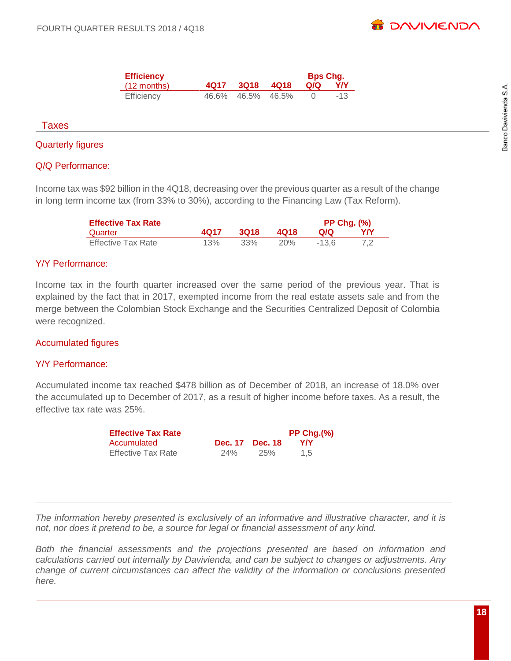| <b>Efficiency</b>     |                   | <b>Bps Chg.</b> |       |
|-----------------------|-------------------|-----------------|-------|
| $(12 \text{ months})$ | 4Q17 3Q18 4Q18    | Q/Q             | YN    |
| Efficiency            | 46.6% 46.5% 46.5% |                 | $-13$ |

#### Taxes

# Quarterly figures

# Q/Q Performance:

Income tax was \$92 billion in the 4Q18, decreasing over the previous quarter as a result of the change in long term income tax (from 33% to 30%), according to the Financing Law (Tax Reform).

| <b>Effective Tax Rate</b> |      |      |      | <b>PP Chg. (%)</b> |    |
|---------------------------|------|------|------|--------------------|----|
| Quarter                   | 4017 | 3018 | 4018 | 0/0                | YN |
| <b>Effective Tax Rate</b> | 13%  | 33%  | 20%  | $-13.6$            |    |

# Y/Y Performance:

Income tax in the fourth quarter increased over the same period of the previous year. That is explained by the fact that in 2017, exempted income from the real estate assets sale and from the merge between the Colombian Stock Exchange and the Securities Centralized Deposit of Colombia were recognized.

#### Accumulated figures

#### Y/Y Performance:

Accumulated income tax reached \$478 billion as of December of 2018, an increase of 18.0% over the accumulated up to December of 2017, as a result of higher income before taxes. As a result, the effective tax rate was 25%.

| <b>Effective Tax Rate</b> |     |                 | $PP Chg.$ $%$ |
|---------------------------|-----|-----------------|---------------|
| Accumulated               |     | Dec. 17 Dec. 18 | YN            |
| <b>Effective Tax Rate</b> | 24% | <b>25%</b>      | 1.5           |

*The information hereby presented is exclusively of an informative and illustrative character, and it is not, nor does it pretend to be, a source for legal or financial assessment of any kind.*

*Both the financial assessments and the projections presented are based on information and calculations carried out internally by Davivienda, and can be subject to changes or adjustments. Any change of current circumstances can affect the validity of the information or conclusions presented here.*